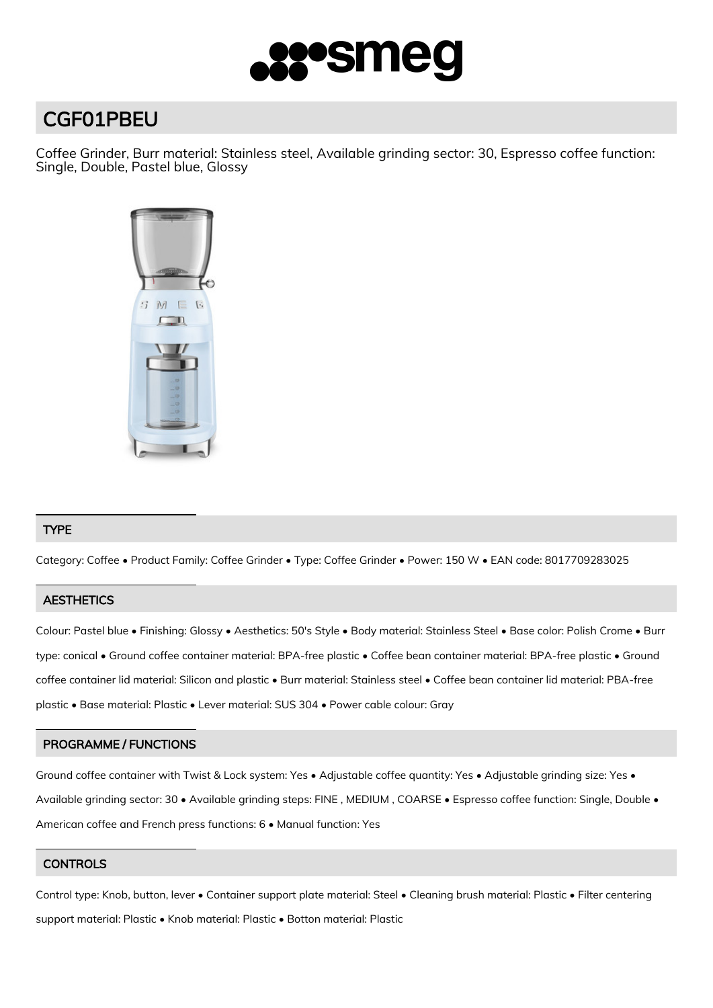

# CGF01PBEU

Coffee Grinder, Burr material: Stainless steel, Available grinding sector: 30, Espresso coffee function: Single, Double, Pastel blue, Glossy



# TYPE

Category: Coffee • Product Family: Coffee Grinder • Type: Coffee Grinder • Power: 150 W • EAN code: 8017709283025

# **AESTHETICS**

Colour: Pastel blue • Finishing: Glossy • Aesthetics: 50's Style • Body material: Stainless Steel • Base color: Polish Crome • Burr type: conical • Ground coffee container material: BPA-free plastic • Coffee bean container material: BPA-free plastic • Ground coffee container lid material: Silicon and plastic • Burr material: Stainless steel • Coffee bean container lid material: PBA-free plastic • Base material: Plastic • Lever material: SUS 304 • Power cable colour: Gray

### PROGRAMME / FUNCTIONS

Ground coffee container with Twist & Lock system: Yes • Adjustable coffee quantity: Yes • Adjustable grinding size: Yes • Available grinding sector: 30 • Available grinding steps: FINE , MEDIUM , COARSE • Espresso coffee function: Single, Double • American coffee and French press functions: 6 • Manual function: Yes

# **CONTROLS**

Control type: Knob, button, lever • Container support plate material: Steel • Cleaning brush material: Plastic • Filter centering support material: Plastic • Knob material: Plastic • Botton material: Plastic